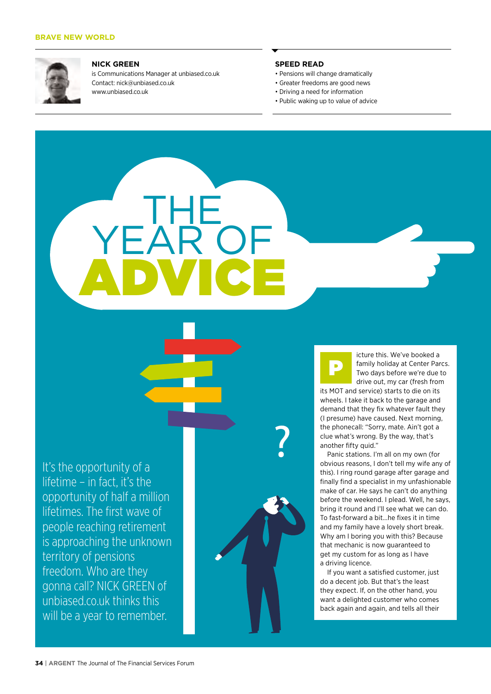

#### **NICK GREEN**

is Communications Manager at unbiased.co.uk Contact: nick@unbiased.co.uk www.unbiased.co.uk

THE

ADVICE

YEAR OF

### **SPEED READ**

- Pensions will change dramatically
- Greater freedoms are good news
- Driving a need for information
- Public waking up to value of advice

It's the opportunity of a lifetime – in fact, it's the opportunity of half a million lifetimes. The first wave of people reaching retirement is approaching the unknown territory of pensions freedom. Who are they gonna call? NICK GREEN of unbiased.co.uk thinks this will be a year to remember.



P

icture this. We've booked a family holiday at Center Parcs. Two days before we're due to drive out, my car (fresh from

its MOT and service) starts to die on its wheels. I take it back to the garage and demand that they fix whatever fault they (I presume) have caused. Next morning, the phonecall: "Sorry, mate. Ain't got a clue what's wrong. By the way, that's another fifty quid."

Panic stations. I'm all on my own (for obvious reasons, I don't tell my wife any of this). I ring round garage after garage and finally find a specialist in my unfashionable make of car. He says he can't do anything before the weekend. I plead. Well, he says, bring it round and I'll see what we can do. To fast-forward a bit…he fixes it in time and my family have a lovely short break. Why am I boring you with this? Because that mechanic is now guaranteed to get my custom for as long as I have a driving licence.

If you want a satisfied customer, just do a decent job. But that's the least they expect. If, on the other hand, you want a delighted customer who comes back again and again, and tells all their